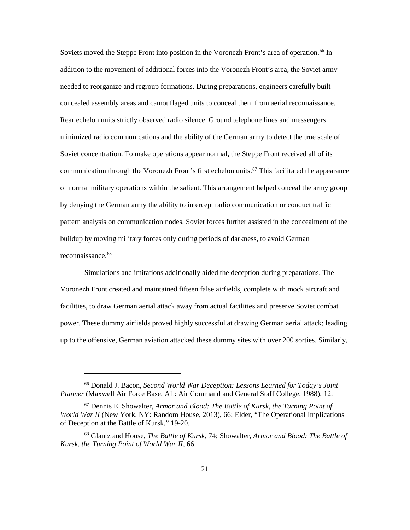Soviets moved the Steppe Front into position in the Voronezh Front's area of operation.<sup>[66](#page-26-0)</sup> In addition to the movement of additional forces into the Voronezh Front's area, the Soviet army concealed assembly areas and camouflaged units to conceal them from aerial reconnaissance. of normal military operations within the salient. This arrangement helped conceal the army group by denying the German army the ability to intercept radio communication or conduct traffic buildup by moving military forces only during periods of darkness, to avoid German reconnaissance.<sup>68</sup> needed to reorganize and regroup formations. During preparations, engineers carefully built Rear echelon units strictly observed radio silence. Ground telephone lines and messengers minimized radio communications and the ability of the German army to detect the true scale of Soviet concentration. To make operations appear normal, the Steppe Front received all of its communication through the Voronezh Front's first echelon units.<sup>[67](#page-26-1)</sup> This facilitated the appearance pattern analysis on communication nodes. Soviet forces further assisted in the concealment of the

Simulations and imitations additionally aided the deception during preparations. The Voronezh Front created and maintained fifteen false airfields, complete with mock aircraft and facilities, to draw German aerial attack away from actual facilities and preserve Soviet combat power. These dummy airfields proved highly successful at drawing German aerial attack; leading up to the offensive, German aviation attacked these dummy sites with over 200 sorties. Similarly,

<span id="page-26-0"></span> 66 Donald J. Bacon, *Second World War Deception: Lessons Learned for Today's Joint Planner* (Maxwell Air Force Base, AL: Air Command and General Staff College, 1988), 12.

<span id="page-26-1"></span> 67 Dennis E. Showalter, *Armor and Blood: The Battle of Kursk, the Turning Point of*  of Deception at the Battle of Kursk," 19-20. *World War II* (New York, NY: Random House, 2013), 66; Elder, "The Operational Implications

<span id="page-26-2"></span> 68 Glantz and House, *The Battle of Kursk*, 74; Showalter, *Armor and Blood: The Battle of Kursk, the Turning Point of World War II*, 66.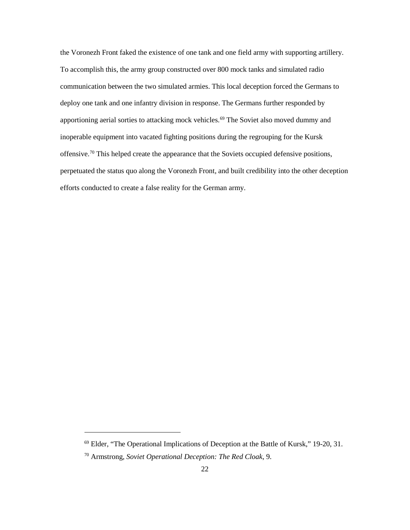perpetuated the status quo along the Voronezh Front, and built credibility into the other deception the Voronezh Front faked the existence of one tank and one field army with supporting artillery. To accomplish this, the army group constructed over 800 mock tanks and simulated radio communication between the two simulated armies. This local deception forced the Germans to deploy one tank and one infantry division in response. The Germans further responded by apportioning aerial sorties to attacking mock vehicles.<sup>69</sup> The Soviet also moved dummy and inoperable equipment into vacated fighting positions during the regrouping for the Kursk offensive.[70](#page-27-1) This helped create the appearance that the Soviets occupied defensive positions, efforts conducted to create a false reality for the German army.

<span id="page-27-1"></span><span id="page-27-0"></span><sup>69</sup> Elder, "The Operational Implications of Deception at the Battle of Kursk," 19-20, 31.

<sup>70</sup> Armstrong, *Soviet Operational Deception: The Red Cloak*, 9.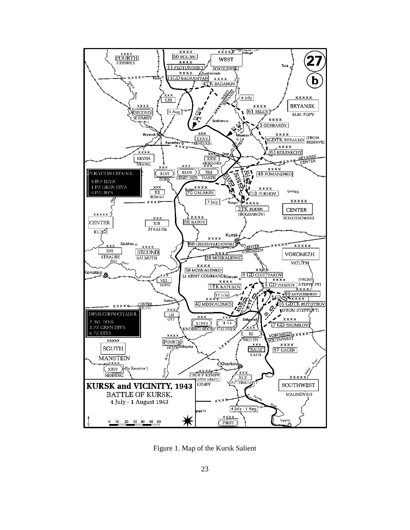

Figure 1. Map of the Kursk Salient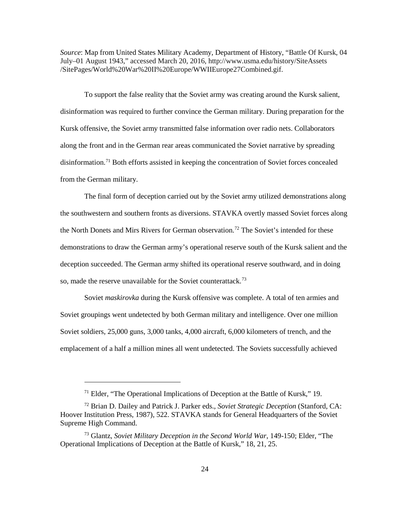*Source*: Map from United States Military Academy, Department of History, "Battle Of Kursk, 04 July–01 August 1943," accessed March 20, 2016, http://www.usma.edu/history/SiteAssets /SitePages/World%20War%20II%20Europe/WWIIEurope27Combined.gif.

 along the front and in the German rear areas communicated the Soviet narrative by spreading To support the false reality that the Soviet army was creating around the Kursk salient, disinformation was required to further convince the German military. During preparation for the Kursk offensive, the Soviet army transmitted false information over radio nets. Collaborators disinformation.<sup>[71](#page-29-0)</sup> Both efforts assisted in keeping the concentration of Soviet forces concealed from the German military.

 The final form of deception carried out by the Soviet army utilized demonstrations along the southwestern and southern fronts as diversions. STAVKA overtly massed Soviet forces along deception succeeded. The German army shifted its operational reserve southward, and in doing the North Donets and Mirs Rivers for German observation.<sup>[72](#page-29-1)</sup> The Soviet's intended for these demonstrations to draw the German army's operational reserve south of the Kursk salient and the so, made the reserve unavailable for the Soviet counterattack. [73](#page-29-2)

 Soviet groupings went undetected by both German military and intelligence. Over one million Soviet *maskirovka* during the Kursk offensive was complete. A total of ten armies and Soviet soldiers, 25,000 guns, 3,000 tanks, 4,000 aircraft, 6,000 kilometers of trench, and the emplacement of a half a million mines all went undetected. The Soviets successfully achieved

 $71$  Elder, "The Operational Implications of Deception at the Battle of Kursk," 19.

<span id="page-29-1"></span><span id="page-29-0"></span> 72 Brian D. Dailey and Patrick J. Parker eds., *Soviet Strategic Deception* (Stanford, CA: Supreme High Command. Hoover Institution Press, 1987), 522. STAVKA stands for General Headquarters of the Soviet

<span id="page-29-2"></span> Operational Implications of Deception at the Battle of Kursk," 18, 21, 25. <sup>73</sup> Glantz, *Soviet Military Deception in the Second World War*, 149-150; Elder, "The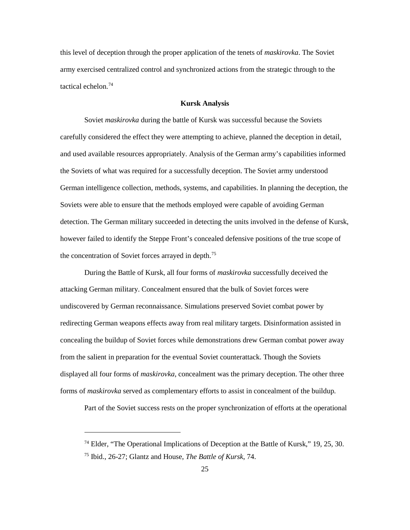army exercised centralized control and synchronized actions from the strategic through to the tactical echelon.<sup>74</sup> this level of deception through the proper application of the tenets of *maskirovka*. The Soviet

## **Kursk Analysis**

 carefully considered the effect they were attempting to achieve, planned the deception in detail, and used available resources appropriately. Analysis of the German army's capabilities informed the Soviets of what was required for a successfully deception. The Soviet army understood German intelligence collection, methods, systems, and capabilities. In planning the deception, the Soviet *maskirovka* during the battle of Kursk was successful because the Soviets Soviets were able to ensure that the methods employed were capable of avoiding German detection. The German military succeeded in detecting the units involved in the defense of Kursk, however failed to identify the Steppe Front's concealed defensive positions of the true scope of the concentration of Soviet forces arrayed in depth.[75](#page-30-1) 

 During the Battle of Kursk, all four forms of *maskirovka* successfully deceived the attacking German military. Concealment ensured that the bulk of Soviet forces were redirecting German weapons effects away from real military targets. Disinformation assisted in displayed all four forms of *maskirovka,* concealment was the primary deception. The other three forms of *maskirovka* served as complementary efforts to assist in concealment of the buildup. undiscovered by German reconnaissance. Simulations preserved Soviet combat power by concealing the buildup of Soviet forces while demonstrations drew German combat power away from the salient in preparation for the eventual Soviet counterattack. Though the Soviets

Part of the Soviet success rests on the proper synchronization of efforts at the operational

<span id="page-30-1"></span><span id="page-30-0"></span> $74$  Elder, "The Operational Implications of Deception at the Battle of Kursk," 19, 25, 30.

 75 Ibid., 26-27; Glantz and House, *The Battle of Kursk*, 74.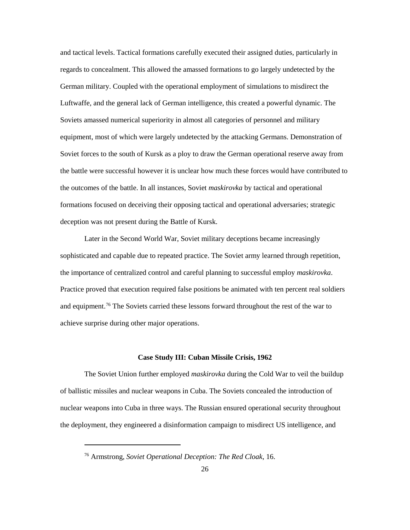German military. Coupled with the operational employment of simulations to misdirect the Soviets amassed numerical superiority in almost all categories of personnel and military the battle were successful however it is unclear how much these forces would have contributed to and tactical levels. Tactical formations carefully executed their assigned duties, particularly in regards to concealment. This allowed the amassed formations to go largely undetected by the Luftwaffe, and the general lack of German intelligence, this created a powerful dynamic. The equipment, most of which were largely undetected by the attacking Germans. Demonstration of Soviet forces to the south of Kursk as a ploy to draw the German operational reserve away from the outcomes of the battle. In all instances, Soviet *maskirovka* by tactical and operational formations focused on deceiving their opposing tactical and operational adversaries; strategic deception was not present during the Battle of Kursk.

 sophisticated and capable due to repeated practice. The Soviet army learned through repetition, and equipment.<sup>[76](#page-31-0)</sup> The Soviets carried these lessons forward throughout the rest of the war to Later in the Second World War, Soviet military deceptions became increasingly the importance of centralized control and careful planning to successful employ *maskirovka*. Practice proved that execution required false positions be animated with ten percent real soldiers achieve surprise during other major operations.

#### **Case Study III: Cuban Missile Crisis, 1962**

 The Soviet Union further employed *maskirovka* during the Cold War to veil the buildup nuclear weapons into Cuba in three ways. The Russian ensured operational security throughout of ballistic missiles and nuclear weapons in Cuba. The Soviets concealed the introduction of the deployment, they engineered a disinformation campaign to misdirect US intelligence, and

<span id="page-31-0"></span><sup>76</sup> Armstrong, *Soviet Operational Deception: The Red Cloak*, 16.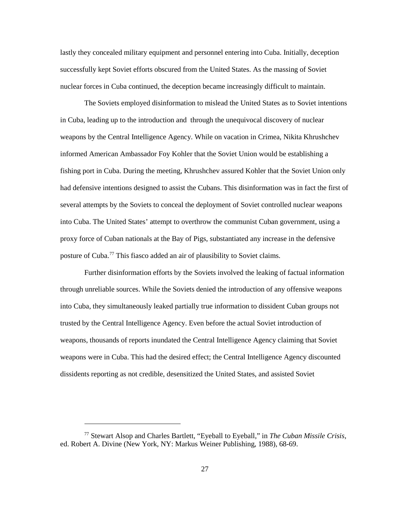lastly they concealed military equipment and personnel entering into Cuba. Initially, deception successfully kept Soviet efforts obscured from the United States. As the massing of Soviet nuclear forces in Cuba continued, the deception became increasingly difficult to maintain.

 The Soviets employed disinformation to mislead the United States as to Soviet intentions in Cuba, leading up to the introduction and through the unequivocal discovery of nuclear informed American Ambassador Foy Kohler that the Soviet Union would be establishing a fishing port in Cuba. During the meeting, Khrushchev assured Kohler that the Soviet Union only into Cuba. The United States' attempt to overthrow the communist Cuban government, using a weapons by the Central Intelligence Agency. While on vacation in Crimea, Nikita Khrushchev had defensive intentions designed to assist the Cubans. This disinformation was in fact the first of several attempts by the Soviets to conceal the deployment of Soviet controlled nuclear weapons proxy force of Cuban nationals at the Bay of Pigs, substantiated any increase in the defensive posture of Cuba.[77](#page-32-0) This fiasco added an air of plausibility to Soviet claims.

 Further disinformation efforts by the Soviets involved the leaking of factual information dissidents reporting as not credible, desensitized the United States, and assisted Soviet through unreliable sources. While the Soviets denied the introduction of any offensive weapons into Cuba, they simultaneously leaked partially true information to dissident Cuban groups not trusted by the Central Intelligence Agency. Even before the actual Soviet introduction of weapons, thousands of reports inundated the Central Intelligence Agency claiming that Soviet weapons were in Cuba. This had the desired effect; the Central Intelligence Agency discounted

<span id="page-32-0"></span><sup>77</sup> Stewart Alsop and Charles Bartlett, "Eyeball to Eyeball," in *The Cuban Missile Crisis*, ed. Robert A. Divine (New York, NY: Markus Weiner Publishing, 1988), 68-69.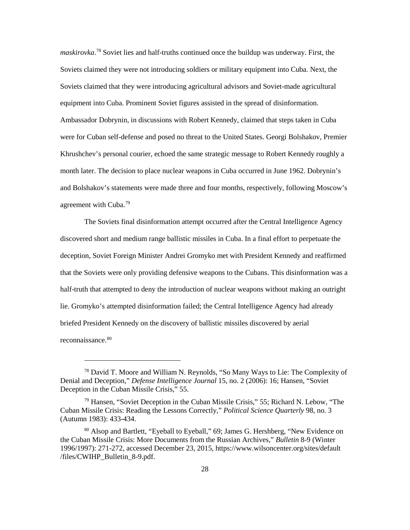Ambassador Dobrynin, in discussions with Robert Kennedy, claimed that steps taken in Cuba Khrushchev's personal courier, echoed the same strategic message to Robert Kennedy roughly a agreement with Cuba.<sup>[79](#page-33-1)</sup> *maskirovka*. [78](#page-33-0) Soviet lies and half-truths continued once the buildup was underway. First, the Soviets claimed they were not introducing soldiers or military equipment into Cuba. Next, the Soviets claimed that they were introducing agricultural advisors and Soviet-made agricultural equipment into Cuba. Prominent Soviet figures assisted in the spread of disinformation. were for Cuban self-defense and posed no threat to the United States. Georgi Bolshakov, Premier month later. The decision to place nuclear weapons in Cuba occurred in June 1962. Dobrynin's and Bolshakov's statements were made three and four months, respectively, following Moscow's

 discovered short and medium range ballistic missiles in Cuba. In a final effort to perpetuate the deception, Soviet Foreign Minister Andrei Gromyko met with President Kennedy and reaffirmed briefed President Kennedy on the discovery of ballistic missiles discovered by aerial The Soviets final disinformation attempt occurred after the Central Intelligence Agency that the Soviets were only providing defensive weapons to the Cubans. This disinformation was a half-truth that attempted to deny the introduction of nuclear weapons without making an outright lie. Gromyko's attempted disinformation failed; the Central Intelligence Agency had already reconnaissance. [80](#page-33-2) 

<span id="page-33-0"></span> $78$  David T. Moore and William N. Reynolds, "So Many Ways to Lie: The Complexity of Deception in the Cuban Missile Crisis," 55. Denial and Deception," *Defense Intelligence Journal* 15, no. 2 (2006): 16; Hansen, "Soviet

<span id="page-33-1"></span> $79$  Hansen, "Soviet Deception in the Cuban Missile Crisis," 55; Richard N. Lebow, "The Cuban Missile Crisis: Reading the Lessons Correctly," *Political Science Quarterly* 98, no. 3 (Autumn 1983): 433-434.

<span id="page-33-2"></span> 80 Alsop and Bartlett, "Eyeball to Eyeball," 69; James G. Hershberg, "New Evidence on the Cuban Missile Crisis: More Documents from the Russian Archives," *Bulletin* 8-9 (Winter 1996/1997): 271-272, accessed December 23, 2015, https://www.wilsoncenter.org/sites/default /files/CWIHP\_Bulletin\_8-9.pdf.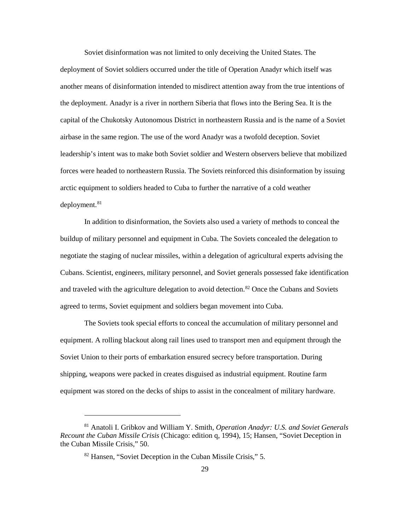Soviet disinformation was not limited to only deceiving the United States. The deployment of Soviet soldiers occurred under the title of Operation Anadyr which itself was another means of disinformation intended to misdirect attention away from the true intentions of the deployment. Anadyr is a river in northern Siberia that flows into the Bering Sea. It is the airbase in the same region. The use of the word Anadyr was a twofold deception. Soviet capital of the Chukotsky Autonomous District in northeastern Russia and is the name of a Soviet leadership's intent was to make both Soviet soldier and Western observers believe that mobilized forces were headed to northeastern Russia. The Soviets reinforced this disinformation by issuing arctic equipment to soldiers headed to Cuba to further the narrative of a cold weather deployment.<sup>[81](#page-34-0)</sup>

 Cubans. Scientist, engineers, military personnel, and Soviet generals possessed fake identification In addition to disinformation, the Soviets also used a variety of methods to conceal the buildup of military personnel and equipment in Cuba. The Soviets concealed the delegation to negotiate the staging of nuclear missiles, within a delegation of agricultural experts advising the and traveled with the agriculture delegation to avoid detection.<sup>[82](#page-34-1)</sup> Once the Cubans and Soviets agreed to terms, Soviet equipment and soldiers began movement into Cuba.

 The Soviets took special efforts to conceal the accumulation of military personnel and Soviet Union to their ports of embarkation ensured secrecy before transportation. During equipment was stored on the decks of ships to assist in the concealment of military hardware. equipment. A rolling blackout along rail lines used to transport men and equipment through the shipping, weapons were packed in creates disguised as industrial equipment. Routine farm

-

<span id="page-34-1"></span><span id="page-34-0"></span> *Recount the Cuban Missile Crisis* (Chicago: edition q, 1994), 15; Hansen, "Soviet Deception in the Cuban Missile Crisis," 50. 81 Anatoli I. Gribkov and William Y. Smith, *Operation Anadyr: U.S. and Soviet Generals* 

<sup>82</sup> Hansen, "Soviet Deception in the Cuban Missile Crisis," 5.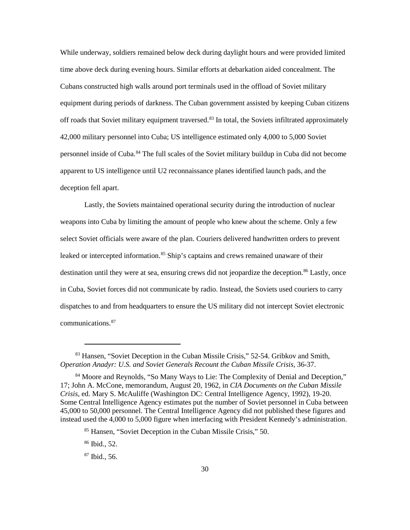time above deck during evening hours. Similar efforts at debarkation aided concealment. The personnel inside of Cuba.<sup>84</sup> The full scales of the Soviet military buildup in Cuba did not become apparent to US intelligence until U2 reconnaissance planes identified launch pads, and the While underway, soldiers remained below deck during daylight hours and were provided limited Cubans constructed high walls around port terminals used in the offload of Soviet military equipment during periods of darkness. The Cuban government assisted by keeping Cuban citizens off roads that Soviet military equipment traversed. [83](#page-35-0) In total, the Soviets infiltrated approximately 42,000 military personnel into Cuba; US intelligence estimated only 4,000 to 5,000 Soviet deception fell apart.

 Lastly, the Soviets maintained operational security during the introduction of nuclear weapons into Cuba by limiting the amount of people who knew about the scheme. Only a few select Soviet officials were aware of the plan. Couriers delivered handwritten orders to prevent destination until they were at sea, ensuring crews did not jeopardize the deception.<sup>86</sup> Lastly, once in Cuba, Soviet forces did not communicate by radio. Instead, the Soviets used couriers to carry leaked or intercepted information. [85](#page-35-2) Ship's captains and crews remained unaware of their dispatches to and from headquarters to ensure the US military did not intercept Soviet electronic communications.[87](#page-35-4) 

<span id="page-35-0"></span>Operation Anadyr: U.S. and Soviet Generals Recount the Cuban Missile Crisis, 36-37. 83 Hansen, "Soviet Deception in the Cuban Missile Crisis," 52-54. Gribkov and Smith,

<span id="page-35-2"></span><span id="page-35-1"></span> Some Central Intelligence Agency estimates put the number of Soviet personnel in Cuba between instead used the 4,000 to 5,000 figure when interfacing with President Kennedy's administration. <sup>84</sup> Moore and Reynolds, "So Many Ways to Lie: The Complexity of Denial and Deception," 17; John A. McCone, memorandum, August 20, 1962, in *CIA Documents on the Cuban Missile Crisis*, ed. Mary S. McAuliffe (Washington DC: Central Intelligence Agency, 1992), 19-20. 45,000 to 50,000 personnel. The Central Intelligence Agency did not published these figures and

<sup>85</sup> Hansen, "Soviet Deception in the Cuban Missile Crisis," 50.

<span id="page-35-3"></span> 86 Ibid., 52.

<span id="page-35-4"></span> 87 Ibid., 56.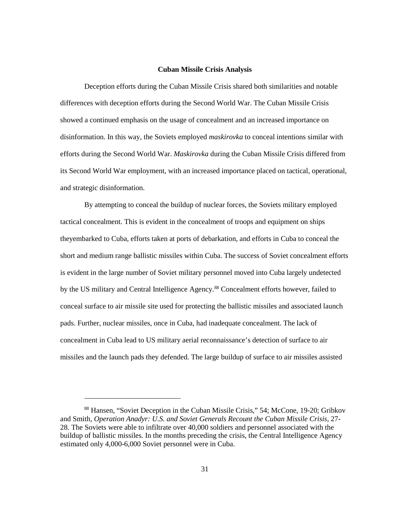#### **Cuban Missile Crisis Analysis**

Deception efforts during the Cuban Missile Crisis shared both similarities and notable differences with deception efforts during the Second World War. The Cuban Missile Crisis showed a continued emphasis on the usage of concealment and an increased importance on disinformation. In this way, the Soviets employed *maskirovka* to conceal intentions similar with efforts during the Second World War. *Maskirovka* during the Cuban Missile Crisis differed from its Second World War employment, with an increased importance placed on tactical, operational, and strategic disinformation.

 tactical concealment. This is evident in the concealment of troops and equipment on ships theyembarked to Cuba, efforts taken at ports of debarkation, and efforts in Cuba to conceal the is evident in the large number of Soviet military personnel moved into Cuba largely undetected conceal surface to air missile site used for protecting the ballistic missiles and associated launch pads. Further, nuclear missiles, once in Cuba, had inadequate concealment. The lack of concealment in Cuba lead to US military aerial reconnaissance's detection of surface to air By attempting to conceal the buildup of nuclear forces, the Soviets military employed short and medium range ballistic missiles within Cuba. The success of Soviet concealment efforts by the US military and Central Intelligence Agency.<sup>[88](#page-36-0)</sup> Concealment efforts however, failed to missiles and the launch pads they defended. The large buildup of surface to air missiles assisted

<span id="page-36-0"></span><sup>88</sup> Hansen, "Soviet Deception in the Cuban Missile Crisis," 54; McCone, 19-20; Gribkov and Smith, *Operation Anadyr: U.S. and Soviet Generals Recount the Cuban Missile Crisis*, 27 28. The Soviets were able to infiltrate over 40,000 soldiers and personnel associated with the buildup of ballistic missiles. In the months preceding the crisis, the Central Intelligence Agency estimated only 4,000-6,000 Soviet personnel were in Cuba.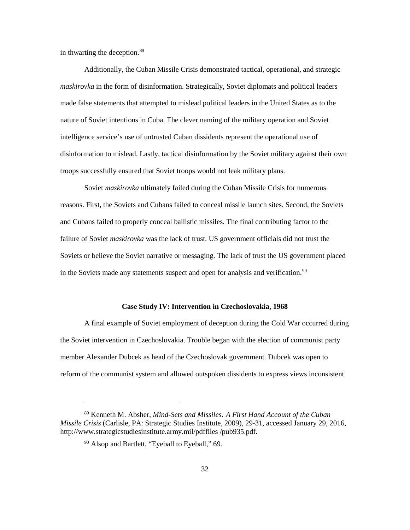in thwarting the deception[.89](#page-37-0)

 *maskirovka* in the form of disinformation. Strategically, Soviet diplomats and political leaders disinformation to mislead. Lastly, tactical disinformation by the Soviet military against their own Additionally, the Cuban Missile Crisis demonstrated tactical, operational, and strategic made false statements that attempted to mislead political leaders in the United States as to the nature of Soviet intentions in Cuba. The clever naming of the military operation and Soviet intelligence service's use of untrusted Cuban dissidents represent the operational use of troops successfully ensured that Soviet troops would not leak military plans.

 Soviet *maskirovka* ultimately failed during the Cuban Missile Crisis for numerous reasons. First, the Soviets and Cubans failed to conceal missile launch sites. Second, the Soviets and Cubans failed to properly conceal ballistic missiles. The final contributing factor to the failure of Soviet *maskirovka* was the lack of trust. US government officials did not trust the Soviets or believe the Soviet narrative or messaging. The lack of trust the US government placed in the Soviets made any statements suspect and open for analysis and verification.<sup>[90](#page-37-1)</sup>

#### **Case Study IV: Intervention in Czechoslovakia, 1968**

A final example of Soviet employment of deception during the Cold War occurred during the Soviet intervention in Czechoslovakia. Trouble began with the election of communist party member Alexander Dubcek as head of the Czechoslovak government. Dubcek was open to reform of the communist system and allowed outspoken dissidents to express views inconsistent

<span id="page-37-1"></span><span id="page-37-0"></span> 89 Kenneth M. Absher, *Mind-Sets and Missiles: A First Hand Account of the Cuban Missile Crisis* (Carlisle, PA: Strategic Studies Institute, 2009), 29-31, accessed January 29, 2016, http://www.strategicstudiesinstitute.army.mil/pdffiles /pub935.pdf.

<sup>&</sup>lt;sup>90</sup> Alsop and Bartlett, "Eyeball to Eyeball," 69.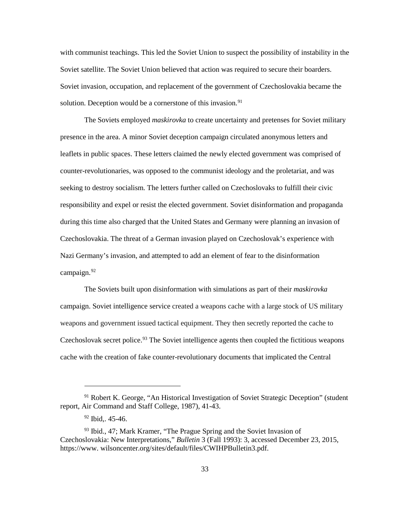with communist teachings. This led the Soviet Union to suspect the possibility of instability in the solution. Deception would be a cornerstone of this invasion.<sup>[91](#page-38-0)</sup> Soviet satellite. The Soviet Union believed that action was required to secure their boarders. Soviet invasion, occupation, and replacement of the government of Czechoslovakia became the

 The Soviets employed *maskirovka* to create uncertainty and pretenses for Soviet military presence in the area. A minor Soviet deception campaign circulated anonymous letters and counter-revolutionaries, was opposed to the communist ideology and the proletariat, and was during this time also charged that the United States and Germany were planning an invasion of leaflets in public spaces. These letters claimed the newly elected government was comprised of seeking to destroy socialism. The letters further called on Czechoslovaks to fulfill their civic responsibility and expel or resist the elected government. Soviet disinformation and propaganda Czechoslovakia. The threat of a German invasion played on Czechoslovak's experience with Nazi Germany's invasion, and attempted to add an element of fear to the disinformation campaign.<sup>[92](#page-38-1)</sup>

 The Soviets built upon disinformation with simulations as part of their *maskirovka*  campaign. Soviet intelligence service created a weapons cache with a large stock of US military Czechoslovak secret police.<sup>93</sup> The Soviet intelligence agents then coupled the fictitious weapons weapons and government issued tactical equipment. They then secretly reported the cache to cache with the creation of fake counter-revolutionary documents that implicated the Central

 $\ddot{\phantom{a}}$ 

<span id="page-38-0"></span><sup>&</sup>lt;sup>91</sup> Robert K. George, "An Historical Investigation of Soviet Strategic Deception" (student report, Air Command and Staff College, 1987), 41-43.

 $92$  Ibid,. 45-46.

<span id="page-38-2"></span><span id="page-38-1"></span><sup>&</sup>lt;sup>93</sup> Ibid., 47; Mark Kramer, "The Prague Spring and the Soviet Invasion of Czechoslovakia: New Interpretations," *Bulletin* 3 (Fall 1993): 3, accessed December 23, 2015, https://www. wilsoncenter.org/sites/default/files/CWIHPBulletin3.pdf.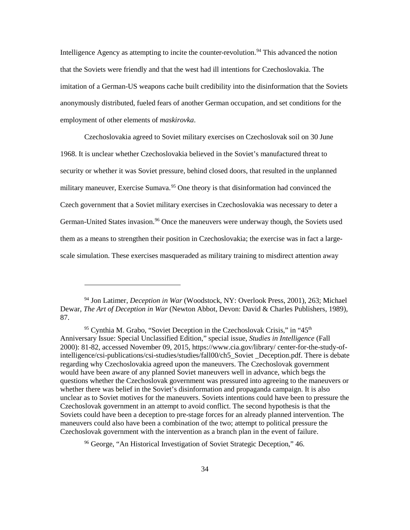employment of other elements of *maskirovka*. Intelligence Agency as attempting to incite the counter-revolution.<sup>[94](#page-39-0)</sup> This advanced the notion that the Soviets were friendly and that the west had ill intentions for Czechoslovakia. The imitation of a German-US weapons cache built credibility into the disinformation that the Soviets anonymously distributed, fueled fears of another German occupation, and set conditions for the

 Czechoslovakia agreed to Soviet military exercises on Czechoslovak soil on 30 June 1968. It is unclear whether Czechoslovakia believed in the Soviet's manufactured threat to security or whether it was Soviet pressure, behind closed doors, that resulted in the unplanned military maneuver, Exercise Sumava. [95](#page-39-1) One theory is that disinformation had convinced the Czech government that a Soviet military exercises in Czechoslovakia was necessary to deter a German-United States invasion.<sup>96</sup> Once the maneuvers were underway though, the Soviets used them as a means to strengthen their position in Czechoslovakia; the exercise was in fact a largescale simulation. These exercises masqueraded as military training to misdirect attention away

<span id="page-39-0"></span><sup>94</sup> Jon Latimer, *Deception in War* (Woodstock, NY: Overlook Press, 2001), 263; Michael Dewar, *The Art of Deception in War* (Newton Abbot, Devon: David & Charles Publishers, 1989), 87.

<span id="page-39-1"></span><sup>&</sup>lt;sup>95</sup> Cynthia M. Grabo, "Soviet Deception in the Czechoslovak Crisis," in "45<sup>th</sup> Anniversary Issue: Special Unclassified Edition," special issue, *Studies in Intelligence* (Fall would have been aware of any planned Soviet maneuvers well in advance, which begs the Czechoslovak government in an attempt to avoid conflict. The second hypothesis is that the maneuvers could also have been a combination of the two; attempt to political pressure the 2000): 81-82, accessed November 09, 2015, https://www.cia.gov/library/ center-for-the-study-ofintelligence/csi-publications/csi-studies/studies/fall00/ch5\_Soviet \_Deception.pdf. There is debate regarding why Czechoslovakia agreed upon the maneuvers. The Czechoslovak government questions whether the Czechoslovak government was pressured into agreeing to the maneuvers or whether there was belief in the Soviet's disinformation and propaganda campaign. It is also unclear as to Soviet motives for the maneuvers. Soviets intentions could have been to pressure the Soviets could have been a deception to pre-stage forces for an already planned intervention. The Czechoslovak government with the intervention as a branch plan in the event of failure.

<span id="page-39-2"></span><sup>96</sup> George, "An Historical Investigation of Soviet Strategic Deception," 46.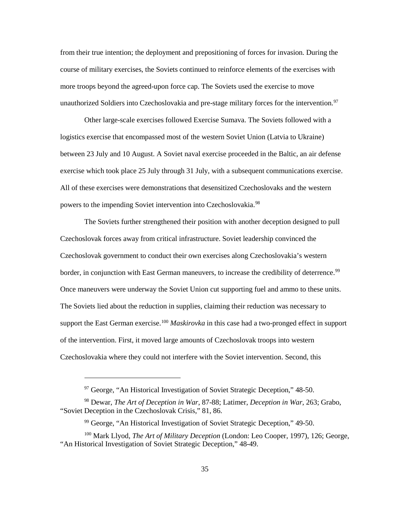from their true intention; the deployment and prepositioning of forces for invasion. During the course of military exercises, the Soviets continued to reinforce elements of the exercises with more troops beyond the agreed-upon force cap. The Soviets used the exercise to move unauthorized Soldiers into Czechoslovakia and pre-stage military forces for the intervention.<sup>[97](#page-40-0)</sup>

 between 23 July and 10 August. A Soviet naval exercise proceeded in the Baltic, an air defense powers to the impending Soviet intervention into Czechoslovakia.<sup>[98](#page-40-1)</sup> Other large-scale exercises followed Exercise Sumava. The Soviets followed with a logistics exercise that encompassed most of the western Soviet Union (Latvia to Ukraine) exercise which took place 25 July through 31 July, with a subsequent communications exercise. All of these exercises were demonstrations that desensitized Czechoslovaks and the western

 Czechoslovak forces away from critical infrastructure. Soviet leadership convinced the The Soviets lied about the reduction in supplies, claiming their reduction was necessary to support the East German exercise. [100](#page-40-3) *Maskirovka* in this case had a two-pronged effect in support of the intervention. First, it moved large amounts of Czechoslovak troops into western The Soviets further strengthened their position with another deception designed to pull Czechoslovak government to conduct their own exercises along Czechoslovakia's western border, in conjunction with East German maneuvers, to increase the credibility of deterrence.<sup>99</sup> Once maneuvers were underway the Soviet Union cut supporting fuel and ammo to these units. Czechoslovakia where they could not interfere with the Soviet intervention. Second, this

 $\ddot{\phantom{a}}$ 

 $97$  George, "An Historical Investigation of Soviet Strategic Deception," 48-50.

<span id="page-40-1"></span><span id="page-40-0"></span><sup>98</sup> Dewar, *The Art of Deception in War*, 87-88; Latimer, *Deception in War*, 263; Grabo, "Soviet Deception in the Czechoslovak Crisis," 81, 86.

<sup>&</sup>lt;sup>99</sup> George, "An Historical Investigation of Soviet Strategic Deception," 49-50.

<span id="page-40-3"></span><span id="page-40-2"></span> 100 Mark Llyod, *The Art of Military Deception* (London: Leo Cooper, 1997), 126; George, "An Historical Investigation of Soviet Strategic Deception," 48-49.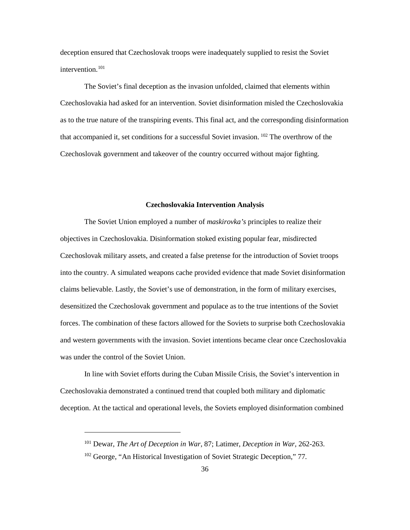deception ensured that Czechoslovak troops were inadequately supplied to resist the Soviet intervention.<sup>101</sup>

that accompanied it, set conditions for a successful Soviet invasion. <sup>102</sup> The overthrow of the The Soviet's final deception as the invasion unfolded, claimed that elements within Czechoslovakia had asked for an intervention. Soviet disinformation misled the Czechoslovakia as to the true nature of the transpiring events. This final act, and the corresponding disinformation Czechoslovak government and takeover of the country occurred without major fighting.

#### **Czechoslovakia Intervention Analysis**

 The Soviet Union employed a number of *maskirovka's* principles to realize their forces. The combination of these factors allowed for the Soviets to surprise both Czechoslovakia was under the control of the Soviet Union. objectives in Czechoslovakia. Disinformation stoked existing popular fear, misdirected Czechoslovak military assets, and created a false pretense for the introduction of Soviet troops into the country. A simulated weapons cache provided evidence that made Soviet disinformation claims believable. Lastly, the Soviet's use of demonstration, in the form of military exercises, desensitized the Czechoslovak government and populace as to the true intentions of the Soviet and western governments with the invasion. Soviet intentions became clear once Czechoslovakia

 In line with Soviet efforts during the Cuban Missile Crisis, the Soviet's intervention in Czechoslovakia demonstrated a continued trend that coupled both military and diplomatic deception. At the tactical and operational levels, the Soviets employed disinformation combined

<span id="page-41-0"></span><sup>101</sup> Dewar, *The Art of Deception in War*, 87; Latimer, *Deception in War,* 262-263.

<span id="page-41-1"></span><sup>&</sup>lt;sup>102</sup> George, "An Historical Investigation of Soviet Strategic Deception," 77.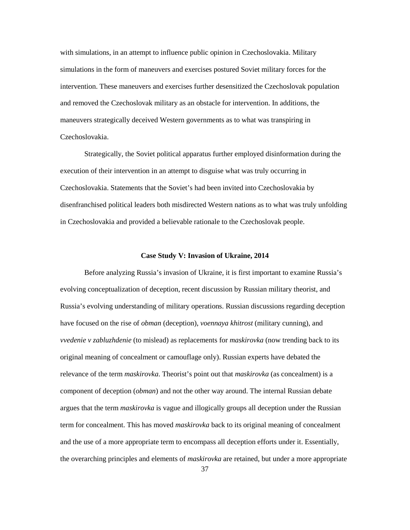simulations in the form of maneuvers and exercises postured Soviet military forces for the Czechoslovakia. with simulations, in an attempt to influence public opinion in Czechoslovakia. Military intervention. These maneuvers and exercises further desensitized the Czechoslovak population and removed the Czechoslovak military as an obstacle for intervention. In additions, the maneuvers strategically deceived Western governments as to what was transpiring in

Strategically, the Soviet political apparatus further employed disinformation during the execution of their intervention in an attempt to disguise what was truly occurring in Czechoslovakia. Statements that the Soviet's had been invited into Czechoslovakia by disenfranchised political leaders both misdirected Western nations as to what was truly unfolding in Czechoslovakia and provided a believable rationale to the Czechoslovak people.

### **Case Study V: Invasion of Ukraine, 2014**

 have focused on the rise of *obman* (deception), *voennaya khitrost* (military cunning), and original meaning of concealment or camouflage only). Russian experts have debated the argues that the term *maskirovka* is vague and illogically groups all deception under the Russian term for concealment. This has moved *maskirovka* back to its original meaning of concealment and the use of a more appropriate term to encompass all deception efforts under it. Essentially, the overarching principles and elements of *maskirovka* are retained, but under a more appropriate Before analyzing Russia's invasion of Ukraine, it is first important to examine Russia's evolving conceptualization of deception, recent discussion by Russian military theorist, and Russia's evolving understanding of military operations. Russian discussions regarding deception *vvedenie v zabluzhdenie* (to mislead) as replacements for *maskirovka* (now trending back to its relevance of the term *maskirovka*. Theorist's point out that *maskirovka* (as concealment) is a component of deception (*obman*) and not the other way around. The internal Russian debate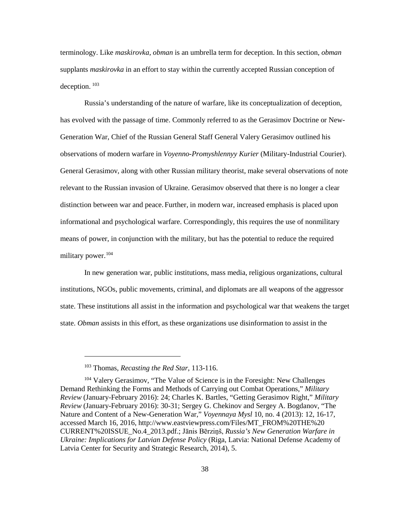terminology. Like *maskirovka*, *obman* is an umbrella term for deception. In this section, *obman*  supplants *maskirovka* in an effort to stay within the currently accepted Russian conception of deception.  $^{103}$ 

 has evolved with the passage of time. Commonly referred to as the Gerasimov Doctrine or Newmilitary power.<sup>104</sup> Russia's understanding of the nature of warfare, like its conceptualization of deception, Generation War, Chief of the Russian General Staff General Valery Gerasimov outlined his observations of modern warfare in *Voyenno-Promyshlennyy Kurier* (Military-Industrial Courier). General Gerasimov, along with other Russian military theorist, make several observations of note relevant to the Russian invasion of Ukraine. Gerasimov observed that there is no longer a clear distinction between war and peace. Further, in modern war, increased emphasis is placed upon informational and psychological warfare. Correspondingly, this requires the use of nonmilitary means of power, in conjunction with the military, but has the potential to reduce the required

 institutions, NGOs, public movements, criminal, and diplomats are all weapons of the aggressor state. These institutions all assist in the information and psychological war that weakens the target In new generation war, public institutions, mass media, religious organizations, cultural state. *Obman* assists in this effort, as these organizations use disinformation to assist in the

-

<sup>103</sup> Thomas, *Recasting the Red Star*, 113-116.

<span id="page-43-1"></span><span id="page-43-0"></span><sup>&</sup>lt;sup>104</sup> Valery Gerasimov, "The Value of Science is in the Foresight: New Challenges Demand Rethinking the Forms and Methods of Carrying out Combat Operations," *Military Review* (January-February 2016): 24; Charles K. Bartles, "Getting Gerasimov Right," *Military Review* (January-February 2016): 30-31; Sergey G. Chekinov and Sergey A. Bogdanov, "The Nature and Content of a New-Generation War," *Voyennaya Mysl* 10, no. 4 (2013): 12, 16-17, accessed March 16, 2016, http://www.eastviewpress.com/Files/MT\_FROM%20THE%20 CURRENT%20ISSUE\_No.4\_2013.pdf.; Jānis Bērziņš, *Russia's New Generation Warfare in Ukraine: Implications for Latvian Defense Policy* (Riga, Latvia: National Defense Academy of Latvia Center for Security and Strategic Research, 2014), 5.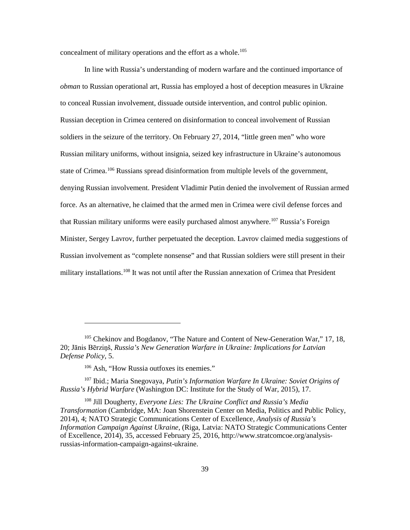concealment of military operations and the effort as a whole.<sup>105</sup>

 soldiers in the seizure of the territory. On February 27, 2014, "little green men" who wore state of Crimea.<sup>106</sup> Russians spread disinformation from multiple levels of the government, denying Russian involvement. President Vladimir Putin denied the involvement of Russian armed military installations.<sup>[108](#page-44-3)</sup> It was not until after the Russian annexation of Crimea that President In line with Russia's understanding of modern warfare and the continued importance of *obman* to Russian operational art, Russia has employed a host of deception measures in Ukraine to conceal Russian involvement, dissuade outside intervention, and control public opinion. Russian deception in Crimea centered on disinformation to conceal involvement of Russian Russian military uniforms, without insignia, seized key infrastructure in Ukraine's autonomous force. As an alternative, he claimed that the armed men in Crimea were civil defense forces and that Russian military uniforms were easily purchased almost anywhere.<sup>[107](#page-44-2)</sup> Russia's Foreign Minister, Sergey Lavrov, further perpetuated the deception. Lavrov claimed media suggestions of Russian involvement as "complete nonsense" and that Russian soldiers were still present in their

<u>.</u>

<span id="page-44-0"></span><sup>&</sup>lt;sup>105</sup> Chekinov and Bogdanov, "The Nature and Content of New-Generation War," 17, 18, 20; Jānis Bērziņš, *Russia's New Generation Warfare in Ukraine: Implications for Latvian Defense Policy*, 5.

<sup>&</sup>lt;sup>106</sup> Ash, "How Russia outfoxes its enemies."

<span id="page-44-2"></span><span id="page-44-1"></span><sup>&</sup>lt;sup>107</sup> Ibid.; Maria Snegovaya, Putin's Information Warfare In Ukraine: Soviet Origins of *Russia's Hybrid Warfare* (Washington DC: Institute for the Study of War, 2015), 17.

<span id="page-44-3"></span> 2014), 4; NATO Strategic Communications Center of Excellence, *Analysis of Russia's*  108 Jill Dougherty, *Everyone Lies: The Ukraine Conflict and Russia's Media Transformation* (Cambridge, MA: Joan Shorenstein Center on Media, Politics and Public Policy, *Information Campaign Against Ukraine*, (Riga, Latvia: NATO Strategic Communications Center of Excellence, 2014), 35, accessed February 25, 2016, http://www.stratcomcoe.org/analysisrussias-information-campaign-against-ukraine.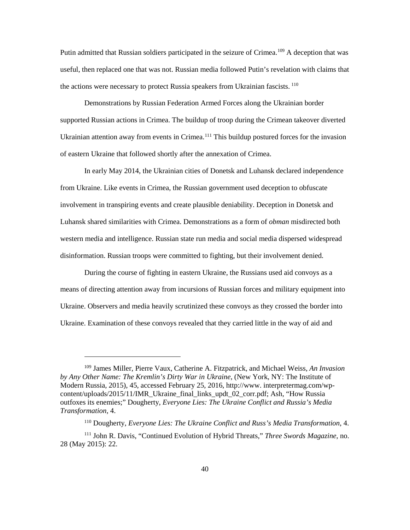the actions were necessary to protect Russia speakers from Ukrainian fascists.<sup>110</sup> Putin admitted that Russian soldiers participated in the seizure of Crimea.<sup>[109](#page-45-0)</sup> A deception that was useful, then replaced one that was not. Russian media followed Putin's revelation with claims that

 of eastern Ukraine that followed shortly after the annexation of Crimea. Demonstrations by Russian Federation Armed Forces along the Ukrainian border supported Russian actions in Crimea. The buildup of troop during the Crimean takeover diverted Ukrainian attention away from events in Crimea.<sup>[111](#page-45-2)</sup> This buildup postured forces for the invasion

 Luhansk shared similarities with Crimea. Demonstrations as a form of *obman* misdirected both disinformation. Russian troops were committed to fighting, but their involvement denied. In early May 2014, the Ukrainian cities of Donetsk and Luhansk declared independence from Ukraine. Like events in Crimea, the Russian government used deception to obfuscate involvement in transpiring events and create plausible deniability. Deception in Donetsk and western media and intelligence. Russian state run media and social media dispersed widespread

 Ukraine. Observers and media heavily scrutinized these convoys as they crossed the border into Ukraine. Examination of these convoys revealed that they carried little in the way of aid and During the course of fighting in eastern Ukraine, the Russians used aid convoys as a means of directing attention away from incursions of Russian forces and military equipment into

-

<span id="page-45-0"></span> 109 James Miller, Pierre Vaux, Catherine A. Fitzpatrick, and Michael Weiss, *An Invasion Transformation*, 4. *by Any Other Name: The Kremlin's Dirty War in Ukraine*, (New York, NY: The Institute of Modern Russia, 2015), 45, accessed February 25, 2016, http://www. interpretermag.com/wpcontent/uploads/2015/11/IMR\_Ukraine\_final\_links\_updt\_02\_corr.pdf; Ash, "How Russia outfoxes its enemies;" Dougherty, *Everyone Lies: The Ukraine Conflict and Russia's Media* 

<sup>110</sup> Dougherty, *Everyone Lies: The Ukraine Conflict and Russ's Media Transformation*, 4.

<span id="page-45-2"></span><span id="page-45-1"></span> 28 (May 2015): 22. 111 John R. Davis, "Continued Evolution of Hybrid Threats," *Three Swords Magazine*, no.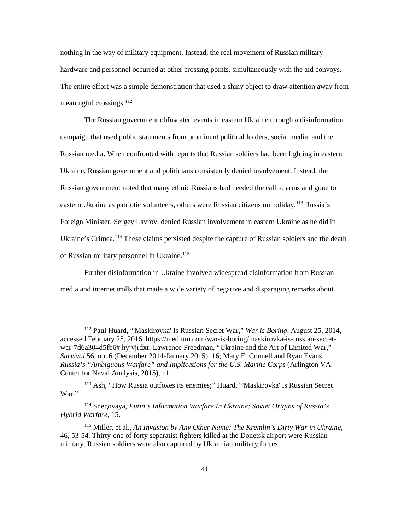nothing in the way of military equipment. Instead, the real movement of Russian military hardware and personnel occurred at other crossing points, simultaneously with the aid convoys. The entire effort was a simple demonstration that used a shiny object to draw attention away from meaningful crossings.<sup>112</sup>

 campaign that used public statements from prominent political leaders, social media, and the Russian media. When confronted with reports that Russian soldiers had been fighting in eastern Russian government noted that many ethnic Russians had heeded the call to arms and gone to Foreign Minister, Sergey Lavrov, denied Russian involvement in eastern Ukraine as he did in The Russian government obfuscated events in eastern Ukraine through a disinformation Ukraine, Russian government and politicians consistently denied involvement. Instead, the eastern Ukraine as patriotic volunteers, others were Russian citizens on holiday.<sup>113</sup> Russia's Ukraine's Crimea.<sup>[114](#page-46-2)</sup> These claims persisted despite the capture of Russian soldiers and the death of Russian military personnel in Ukraine.<sup>[115](#page-46-3)</sup>

Further disinformation in Ukraine involved widespread disinformation from Russian media and internet trolls that made a wide variety of negative and disparaging remarks about

<span id="page-46-0"></span> *Survival* 56, no. 6 (December 2014-January 2015): 16; Mary E. Connell and Ryan Evans, Russia's "Ambiguous Warfare" and Implications for the U.S. Marine Corps (Arlington VA: Center for Naval Analysis, 2015), 11. 112 Paul Huard, "'Maskirovka' Is Russian Secret War," *War is Boring*, August 25, 2014, accessed February 25, 2016, https://medium.com/war-is-boring/maskirovka-is-russian-secretwar-7d6a304d5fb6#.hyjvjrdxt; Lawrence Freedman, "Ukraine and the Art of Limited War,"

<span id="page-46-1"></span><sup>113</sup> Ash, "How Russia outfoxes its enemies;" Huard, "'Maskirovka' Is Russian Secret War."

<span id="page-46-2"></span> 114 Snegovaya, *Putin's Information Warfare In Ukraine: Soviet Origins of Russia's Hybrid Warfare*, 15.

<span id="page-46-3"></span> military. Russian soldiers were also captured by Ukrainian military forces. 115 Miller, et al., *An Invasion by Any Other Name: The Kremlin's Dirty War in Ukraine*, 46, 53-54. Thirty-one of forty separatist fighters killed at the Donetsk airport were Russian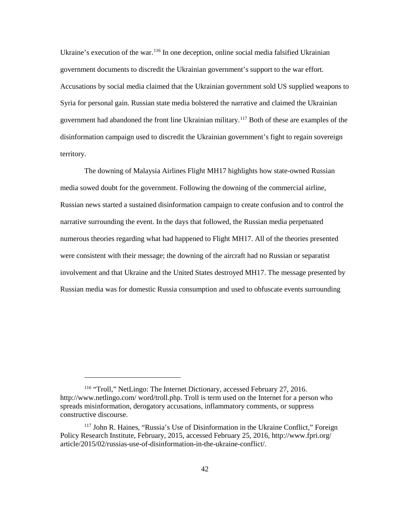government documents to discredit the Ukrainian government's support to the war effort. government had abandoned the front line Ukrainian military.<sup>[117](#page-47-1)</sup> Both of these are examples of the Ukraine's execution of the war.<sup>[116](#page-47-0)</sup> In one deception, online social media falsified Ukrainian Accusations by social media claimed that the Ukrainian government sold US supplied weapons to Syria for personal gain. Russian state media bolstered the narrative and claimed the Ukrainian disinformation campaign used to discredit the Ukrainian government's fight to regain sovereign territory.

 media sowed doubt for the government. Following the downing of the commercial airline, narrative surrounding the event. In the days that followed, the Russian media perpetuated numerous theories regarding what had happened to Flight MH17. All of the theories presented involvement and that Ukraine and the United States destroyed MH17. The message presented by Russian media was for domestic Russia consumption and used to obfuscate events surrounding The downing of Malaysia Airlines Flight MH17 highlights how state-owned Russian Russian news started a sustained disinformation campaign to create confusion and to control the were consistent with their message; the downing of the aircraft had no Russian or separatist

<span id="page-47-0"></span><sup>116 &</sup>quot;Troll," NetLingo: The Internet Dictionary, accessed February 27, 2016. http://www.netlingo.com/ word/troll.php. Troll is term used on the Internet for a person who spreads misinformation, derogatory accusations, inflammatory comments, or suppress constructive discourse.

<span id="page-47-1"></span><sup>117</sup> John R. Haines, "Russia's Use of Disinformation in the Ukraine Conflict," Foreign Policy Research Institute, February, 2015, accessed February 25, 2016, http://www.fpri.org/ article/2015/02/russias-use-of-disinformation-in-the-ukraine-conflict/.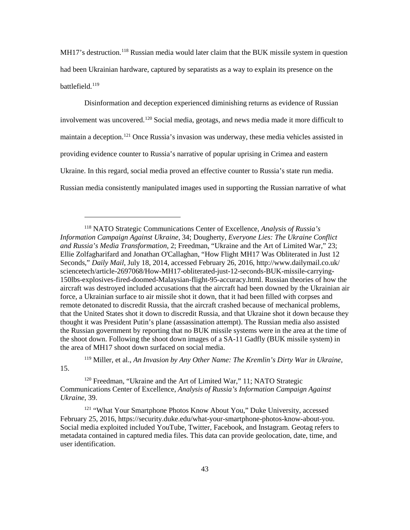battlefield. [119](#page-48-1) MH17's destruction.<sup>[118](#page-48-0)</sup> Russian media would later claim that the BUK missile system in question had been Ukrainian hardware, captured by separatists as a way to explain its presence on the

 Disinformation and deception experienced diminishing returns as evidence of Russian involvement was uncovered. [120](#page-48-2) Social media, geotags, and news media made it more difficult to maintain a deception.<sup>[121](#page-48-3)</sup> Once Russia's invasion was underway, these media vehicles assisted in providing evidence counter to Russia's narrative of popular uprising in Crimea and eastern Ukraine. In this regard, social media proved an effective counter to Russia's state run media. Russian media consistently manipulated images used in supporting the Russian narrative of what

 $\ddot{\phantom{a}}$ 

<span id="page-48-1"></span>15.

 119 Miller, et al., *An Invasion by Any Other Name: The Kremlin's Dirty War in Ukraine*,

<span id="page-48-2"></span>120 Freedman, "Ukraine and the Art of Limited War," 11; NATO Strategic Communications Center of Excellence, *Analysis of Russia's Information Campaign Against Ukraine*, 39.

<span id="page-48-3"></span><sup>121</sup> "What Your Smartphone Photos Know About You," Duke University, accessed February 25, 2016, https://security.duke.edu/what-your-smartphone-photos-know-about-you. Social media exploited included YouTube, Twitter, Facebook, and Instagram. Geotag refers to metadata contained in captured media files. This data can provide geolocation, date, time, and user identification.

<span id="page-48-0"></span> 118 NATO Strategic Communications Center of Excellence, *Analysis of Russia's*  Ellie Zolfagharifard and Jonathan O'Callaghan, "How Flight MH17 Was Obliterated in Just 12 force, a Ukrainian surface to air missile shot it down, that it had been filled with corpses and that the United States shot it down to discredit Russia, and that Ukraine shot it down because they the Russian government by reporting that no BUK missile systems were in the area at the time of the shoot down. Following the shoot down images of a SA-11 Gadfly (BUK missile system) in *Information Campaign Against Ukraine*, 34; Dougherty, *Everyone Lies: The Ukraine Conflict and Russia's Media Transformation*, 2; Freedman, "Ukraine and the Art of Limited War," 23; Seconds," *Daily Mail*, July 18, 2014, accessed February 26, 2016, http://www.dailymail.co.uk/ sciencetech/article-2697068/How-MH17-obliterated-just-12-seconds-BUK-missile-carrying-150lbs-explosives-fired-doomed-Malaysian-flight-95-accuracy.html. Russian theories of how the aircraft was destroyed included accusations that the aircraft had been downed by the Ukrainian air remote detonated to discredit Russia, that the aircraft crashed because of mechanical problems, thought it was President Putin's plane (assassination attempt). The Russian media also assisted the area of MH17 shoot down surfaced on social media.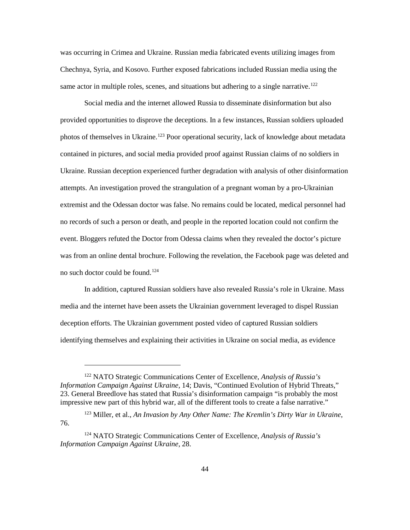same actor in multiple roles, scenes, and situations but adhering to a single narrative.<sup>[122](#page-49-0)</sup> was occurring in Crimea and Ukraine. Russian media fabricated events utilizing images from Chechnya, Syria, and Kosovo. Further exposed fabrications included Russian media using the

 provided opportunities to disprove the deceptions. In a few instances, Russian soldiers uploaded contained in pictures, and social media provided proof against Russian claims of no soldiers in extremist and the Odessan doctor was false. No remains could be located, medical personnel had no records of such a person or death, and people in the reported location could not confirm the Social media and the internet allowed Russia to disseminate disinformation but also photos of themselves in Ukraine.<sup>[123](#page-49-1)</sup> Poor operational security, lack of knowledge about metadata Ukraine. Russian deception experienced further degradation with analysis of other disinformation attempts. An investigation proved the strangulation of a pregnant woman by a pro-Ukrainian event. Bloggers refuted the Doctor from Odessa claims when they revealed the doctor's picture was from an online dental brochure. Following the revelation, the Facebook page was deleted and no such doctor could be found.<sup>[124](#page-49-2)</sup>

 identifying themselves and explaining their activities in Ukraine on social media, as evidence In addition, captured Russian soldiers have also revealed Russia's role in Ukraine. Mass media and the internet have been assets the Ukrainian government leveraged to dispel Russian deception efforts. The Ukrainian government posted video of captured Russian soldiers

<span id="page-49-0"></span> 122 NATO Strategic Communications Center of Excellence, *Analysis of Russia's Information Campaign Against Ukraine*, 14; Davis, "Continued Evolution of Hybrid Threats," 23. General Breedlove has stated that Russia's disinformation campaign "is probably the most impressive new part of this hybrid war, all of the different tools to create a false narrative."

<span id="page-49-1"></span><sup>123</sup> Miller, et al., *An Invasion by Any Other Name: The Kremlin's Dirty War in Ukraine*, 76.

<span id="page-49-2"></span> 124 NATO Strategic Communications Center of Excellence, *Analysis of Russia's Information Campaign Against Ukraine*, 28.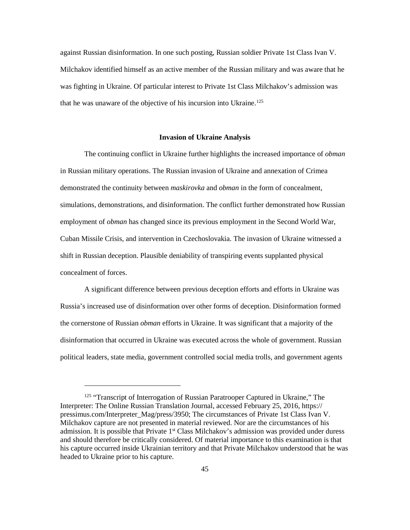against Russian disinformation. In one such posting, Russian soldier Private 1st Class Ivan V. Milchakov identified himself as an active member of the Russian military and was aware that he was fighting in Ukraine. Of particular interest to Private 1st Class Milchakov's admission was that he was unaware of the objective of his incursion into Ukraine.<sup>125</sup>

#### **Invasion of Ukraine Analysis**

 The continuing conflict in Ukraine further highlights the increased importance of *obman*  demonstrated the continuity between *maskirovka* and *obman* in the form of concealment, employment of *obman* has changed since its previous employment in the Second World War, in Russian military operations. The Russian invasion of Ukraine and annexation of Crimea simulations, demonstrations, and disinformation. The conflict further demonstrated how Russian Cuban Missile Crisis, and intervention in Czechoslovakia. The invasion of Ukraine witnessed a shift in Russian deception. Plausible deniability of transpiring events supplanted physical concealment of forces.

 disinformation that occurred in Ukraine was executed across the whole of government. Russian A significant difference between previous deception efforts and efforts in Ukraine was Russia's increased use of disinformation over other forms of deception. Disinformation formed the cornerstone of Russian *obman* efforts in Ukraine. It was significant that a majority of the political leaders, state media, government controlled social media trolls, and government agents

<span id="page-50-0"></span> Milchakov capture are not presented in material reviewed. Nor are the circumstances of his admission. It is possible that Private 1<sup>st</sup> Class Milchakov's admission was provided under duress <sup>125</sup> "Transcript of Interrogation of Russian Paratrooper Captured in Ukraine," The Interpreter: The Online Russian Translation Journal, accessed February 25, 2016, https:// pressimus.com/Interpreter\_Mag/press/3950; The circumstances of Private 1st Class Ivan V. and should therefore be critically considered. Of material importance to this examination is that his capture occurred inside Ukrainian territory and that Private Milchakov understood that he was headed to Ukraine prior to his capture.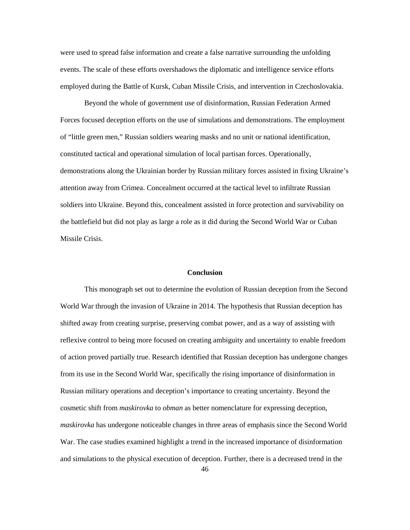were used to spread false information and create a false narrative surrounding the unfolding events. The scale of these efforts overshadows the diplomatic and intelligence service efforts employed during the Battle of Kursk, Cuban Missile Crisis, and intervention in Czechoslovakia.

 Forces focused deception efforts on the use of simulations and demonstrations. The employment of "little green men," Russian soldiers wearing masks and no unit or national identification, the battlefield but did not play as large a role as it did during the Second World War or Cuban Beyond the whole of government use of disinformation, Russian Federation Armed constituted tactical and operational simulation of local partisan forces. Operationally, demonstrations along the Ukrainian border by Russian military forces assisted in fixing Ukraine's attention away from Crimea. Concealment occurred at the tactical level to infiltrate Russian soldiers into Ukraine. Beyond this, concealment assisted in force protection and survivability on Missile Crisis.

# **Conclusion**

 World War through the invasion of Ukraine in 2014. The hypothesis that Russian deception has from its use in the Second World War, specifically the rising importance of disinformation in Russian military operations and deception's importance to creating uncertainty. Beyond the cosmetic shift from *maskirovka* to *obman* as better nomenclature for expressing deception, This monograph set out to determine the evolution of Russian deception from the Second shifted away from creating surprise, preserving combat power, and as a way of assisting with reflexive control to being more focused on creating ambiguity and uncertainty to enable freedom of action proved partially true. Research identified that Russian deception has undergone changes *maskirovka* has undergone noticeable changes in three areas of emphasis since the Second World War. The case studies examined highlight a trend in the increased importance of disinformation and simulations to the physical execution of deception. Further, there is a decreased trend in the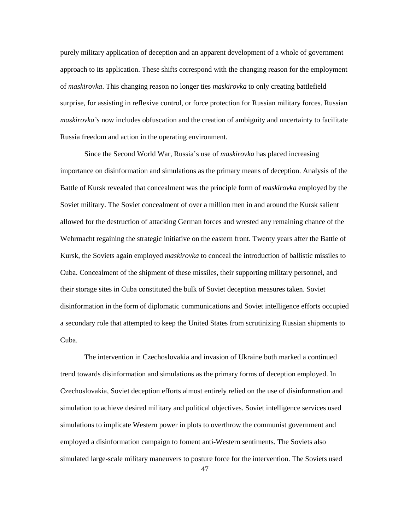approach to its application. These shifts correspond with the changing reason for the employment of *maskirovka*. This changing reason no longer ties *maskirovka* to only creating battlefield purely military application of deception and an apparent development of a whole of government surprise, for assisting in reflexive control, or force protection for Russian military forces. Russian *maskirovka's* now includes obfuscation and the creation of ambiguity and uncertainty to facilitate Russia freedom and action in the operating environment.

 Since the Second World War, Russia's use of *maskirovka* has placed increasing importance on disinformation and simulations as the primary means of deception. Analysis of the allowed for the destruction of attacking German forces and wrested any remaining chance of the Kursk, the Soviets again employed *maskirovka* to conceal the introduction of ballistic missiles to their storage sites in Cuba constituted the bulk of Soviet deception measures taken. Soviet disinformation in the form of diplomatic communications and Soviet intelligence efforts occupied Battle of Kursk revealed that concealment was the principle form of *maskirovka* employed by the Soviet military. The Soviet concealment of over a million men in and around the Kursk salient Wehrmacht regaining the strategic initiative on the eastern front. Twenty years after the Battle of Cuba. Concealment of the shipment of these missiles, their supporting military personnel, and a secondary role that attempted to keep the United States from scrutinizing Russian shipments to Cuba.

 trend towards disinformation and simulations as the primary forms of deception employed. In simulations to implicate Western power in plots to overthrow the communist government and The intervention in Czechoslovakia and invasion of Ukraine both marked a continued Czechoslovakia, Soviet deception efforts almost entirely relied on the use of disinformation and simulation to achieve desired military and political objectives. Soviet intelligence services used employed a disinformation campaign to foment anti-Western sentiments. The Soviets also simulated large-scale military maneuvers to posture force for the intervention. The Soviets used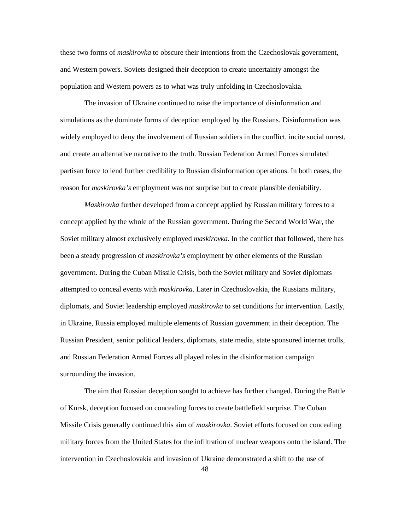these two forms of *maskirovka* to obscure their intentions from the Czechoslovak government, population and Western powers as to what was truly unfolding in Czechoslovakia. and Western powers. Soviets designed their deception to create uncertainty amongst the

 simulations as the dominate forms of deception employed by the Russians. Disinformation was The invasion of Ukraine continued to raise the importance of disinformation and widely employed to deny the involvement of Russian soldiers in the conflict, incite social unrest, and create an alternative narrative to the truth. Russian Federation Armed Forces simulated partisan force to lend further credibility to Russian disinformation operations. In both cases, the reason for *maskirovka's* employment was not surprise but to create plausible deniability.

 been a steady progression of *maskirovka's* employment by other elements of the Russian government. During the Cuban Missile Crisis, both the Soviet military and Soviet diplomats diplomats, and Soviet leadership employed *maskirovka* to set conditions for intervention. Lastly, and Russian Federation Armed Forces all played roles in the disinformation campaign *Maskirovka* further developed from a concept applied by Russian military forces to a concept applied by the whole of the Russian government. During the Second World War, the Soviet military almost exclusively employed *maskirovka*. In the conflict that followed, there has attempted to conceal events with *maskirovka*. Later in Czechoslovakia, the Russians military, in Ukraine, Russia employed multiple elements of Russian government in their deception. The Russian President, senior political leaders, diplomats, state media, state sponsored internet trolls, surrounding the invasion.

 Missile Crisis generally continued this aim of *maskirovka*. Soviet efforts focused on concealing military forces from the United States for the infiltration of nuclear weapons onto the island. The intervention in Czechoslovakia and invasion of Ukraine demonstrated a shift to the use of The aim that Russian deception sought to achieve has further changed. During the Battle of Kursk, deception focused on concealing forces to create battlefield surprise. The Cuban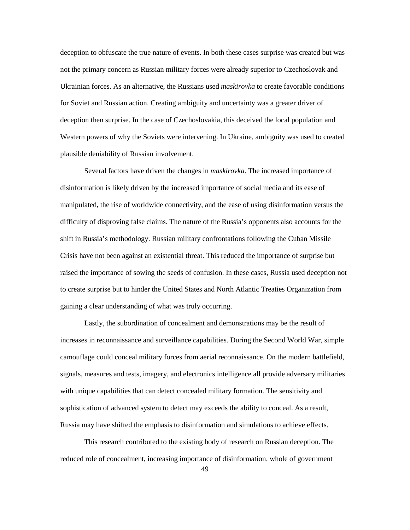for Soviet and Russian action. Creating ambiguity and uncertainty was a greater driver of deception to obfuscate the true nature of events. In both these cases surprise was created but was not the primary concern as Russian military forces were already superior to Czechoslovak and Ukrainian forces. As an alternative, the Russians used *maskirovka* to create favorable conditions deception then surprise. In the case of Czechoslovakia, this deceived the local population and Western powers of why the Soviets were intervening. In Ukraine, ambiguity was used to created plausible deniability of Russian involvement.

 manipulated, the rise of worldwide connectivity, and the ease of using disinformation versus the Crisis have not been against an existential threat. This reduced the importance of surprise but Several factors have driven the changes in *maskirovka*. The increased importance of disinformation is likely driven by the increased importance of social media and its ease of difficulty of disproving false claims. The nature of the Russia's opponents also accounts for the shift in Russia's methodology. Russian military confrontations following the Cuban Missile raised the importance of sowing the seeds of confusion. In these cases, Russia used deception not to create surprise but to hinder the United States and North Atlantic Treaties Organization from gaining a clear understanding of what was truly occurring.

 Lastly, the subordination of concealment and demonstrations may be the result of Russia may have shifted the emphasis to disinformation and simulations to achieve effects. increases in reconnaissance and surveillance capabilities. During the Second World War, simple camouflage could conceal military forces from aerial reconnaissance. On the modern battlefield, signals, measures and tests, imagery, and electronics intelligence all provide adversary militaries with unique capabilities that can detect concealed military formation. The sensitivity and sophistication of advanced system to detect may exceeds the ability to conceal. As a result,

 reduced role of concealment, increasing importance of disinformation, whole of government This research contributed to the existing body of research on Russian deception. The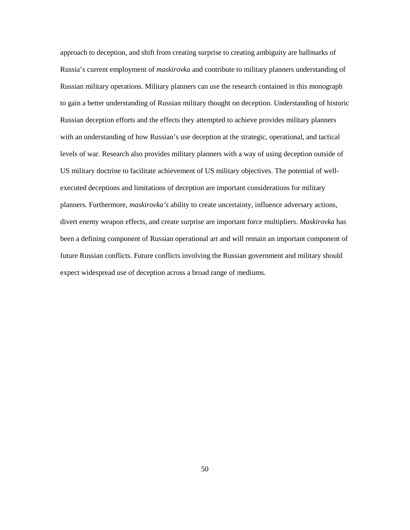approach to deception, and shift from creating surprise to creating ambiguity are hallmarks of Russia's current employment of *maskirovka* and contribute to military planners understanding of Russian military operations. Military planners can use the research contained in this monograph Russian deception efforts and the effects they attempted to achieve provides military planners with an understanding of how Russian's use deception at the strategic, operational, and tactical US military doctrine to facilitate achievement of US military objectives. The potential of well- executed deceptions and limitations of deception are important considerations for military to gain a better understanding of Russian military thought on deception. Understanding of historic levels of war. Research also provides military planners with a way of using deception outside of planners. Furthermore, *maskirovka's* ability to create uncertainty, influence adversary actions, divert enemy weapon effects, and create surprise are important force multipliers. *Maskirovka* has been a defining component of Russian operational art and will remain an important component of future Russian conflicts. Future conflicts involving the Russian government and military should expect widespread use of deception across a broad range of mediums.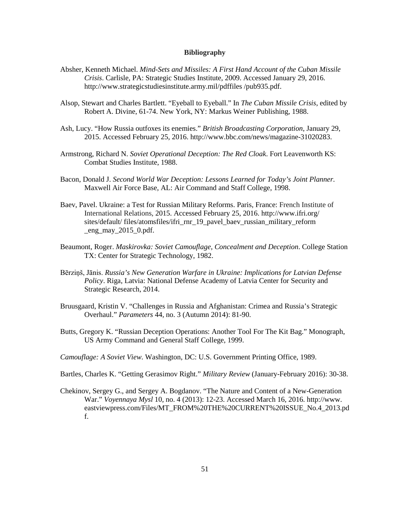## **Bibliography**

- Absher, Kenneth Michael. *Mind-Sets and Missiles: A First Hand Account of the Cuban Missile Crisis*. Carlisle, PA: Strategic Studies Institute, 2009. Accessed January 29, 2016. http://www.strategicstudiesinstitute.army.mil/pdffiles /pub935.pdf.
- Alsop, Stewart and Charles Bartlett. "Eyeball to Eyeball." In *The Cuban Missile Crisis*, edited by Robert A. Divine, 61-74. New York, NY: Markus Weiner Publishing, 1988.
- Ash, Lucy. "How Russia outfoxes its enemies." *British Broadcasting Corporation*, January 29, 2015. Accessed February 25, 2016. http://www.bbc.com/news/magazine-31020283.
- Armstrong, Richard N. *Soviet Operational Deception: The Red Cloak*. Fort Leavenworth KS: Combat Studies Institute, 1988.
- Bacon, Donald J. *Second World War Deception: Lessons Learned for Today's Joint Planner*. Maxwell Air Force Base, AL: Air Command and Staff College, 1998.
- Baev, Pavel. Ukraine: a Test for Russian Military Reforms. Paris, France: French Institute of International Relations, 2015. Accessed February 25, 2016. http://www.ifri.org/ sites/default/ files/atomsfiles/ifri\_rnr\_19\_pavel\_baev\_russian\_military\_reform  $eng$ \_may\_2015\_0.pdf.
- Beaumont, Roger. *Maskirovka: Soviet Camouflage, Concealment and Deception*. College Station TX: Center for Strategic Technology, 1982.
- Bērziņš, Jānis. *Russia's New Generation Warfare in Ukraine: Implications for Latvian Defense Policy*. Riga, Latvia: National Defense Academy of Latvia Center for Security and Strategic Research, 2014.
- Overhaul." *Parameters* 44, no. 3 (Autumn 2014): 81-90. Bruusgaard, Kristin V. "Challenges in Russia and Afghanistan: Crimea and Russia's Strategic
- Butts, Gregory K. "Russian Deception Operations: Another Tool For The Kit Bag." Monograph, US Army Command and General Staff College, 1999.
- *Camouflage: A Soviet View*. Washington, DC: U.S. Government Printing Office, 1989.
- Bartles, Charles K. "Getting Gerasimov Right." *Military Review* (January-February 2016): 30-38.
- Chekinov, Sergey G., and Sergey A. Bogdanov. "The Nature and Content of a New-Generation War." *Voyennaya Mysl* 10, no. 4 (2013): 12-23. Accessed March 16, 2016. http://www. eastviewpress.com/Files/MT\_FROM%20THE%20CURRENT%20ISSUE\_No.4\_2013.pd f.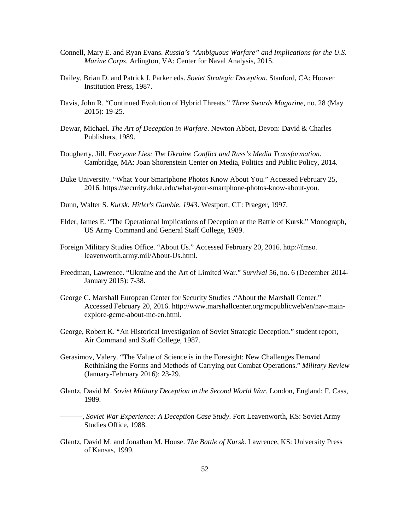- *Marine Corps*. Arlington, VA: Center for Naval Analysis, 2015. Connell, Mary E. and Ryan Evans. *Russia's "Ambiguous Warfare" and Implications for the U.S.*
- Dailey, Brian D. and Patrick J. Parker eds. *Soviet Strategic Deception*. Stanford, CA: Hoover Institution Press, 1987.
- Davis, John R. "Continued Evolution of Hybrid Threats." *Three Swords Magazine*, no. 28 (May 2015): 19-25.
- Dewar, Michael. *The Art of Deception in Warfare*. Newton Abbot, Devon: David & Charles Publishers, 1989.
- Dougherty, Jill. *Everyone Lies: The Ukraine Conflict and Russ's Media Transformation*. Cambridge, MA: Joan Shorenstein Center on Media, Politics and Public Policy, 2014.
- Duke University. "What Your Smartphone Photos Know About You." Accessed February 25, 2016. https://security.duke.edu/what-your-smartphone-photos-know-about-you.
- Dunn, Walter S. *Kursk: Hitler's Gamble*, *1943*. Westport, CT: Praeger, 1997.
- Elder, James E. "The Operational Implications of Deception at the Battle of Kursk." Monograph, US Army Command and General Staff College, 1989.
- Foreign Military Studies Office. "About Us." Accessed February 20, 2016. http://fmso. leavenworth.army.mil/About-Us.html.
- Freedman, Lawrence. "Ukraine and the Art of Limited War." *Survival* 56, no. 6 (December 2014 January 2015): 7-38.
- George C. Marshall European Center for Security Studies ."About the Marshall Center." Accessed February 20, 2016. http://www.marshallcenter.org/mcpublicweb/en/nav-mainexplore-gcmc-about-mc-en.html.
- George, Robert K. "An Historical Investigation of Soviet Strategic Deception." student report, Air Command and Staff College, 1987.
- Gerasimov, Valery. "The Value of Science is in the Foresight: New Challenges Demand Rethinking the Forms and Methods of Carrying out Combat Operations." *Military Review*  (January-February 2016): 23-29.
- Glantz, David M. *Soviet Military Deception in the Second World War*. London, England: F. Cass, 1989.
- Studies Office, 1988. ———, *Soviet War Experience: A Deception Case Study*. Fort Leavenworth, KS: Soviet Army
- Glantz, David M. and Jonathan M. House. *The Battle of Kursk*. Lawrence, KS: University Press of Kansas, 1999.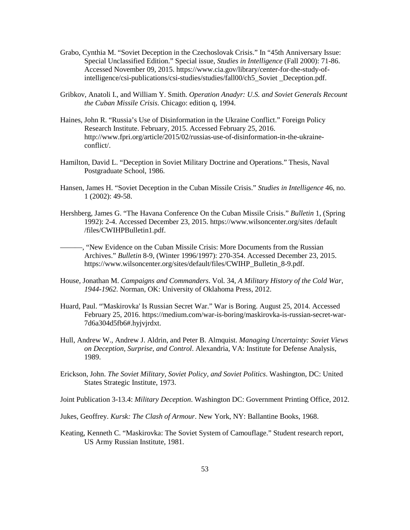- Grabo, Cynthia M. "Soviet Deception in the Czechoslovak Crisis." In "45th Anniversary Issue: Special Unclassified Edition." Special issue, *Studies in Intelligence* (Fall 2000): 71-86. Accessed November 09, 2015. https://www.cia.gov/library/center-for-the-study-ofintelligence/csi-publications/csi-studies/studies/fall00/ch5\_Soviet \_Deception.pdf.
- Gribkov, Anatoli I., and William Y. Smith. *Operation Anadyr: U.S. and Soviet Generals Recount the Cuban Missile Crisis*. Chicago: edition q, 1994.
- Haines, John R. "Russia's Use of Disinformation in the Ukraine Conflict." Foreign Policy Research Institute. February, 2015. Accessed February 25, 2016. http://www.fpri.org/article/2015/02/russias-use-of-disinformation-in-the-ukraineconflict/.
- Hamilton, David L. "Deception in Soviet Military Doctrine and Operations." Thesis, Naval Postgraduate School, 1986.
- Hansen, James H. "Soviet Deception in the Cuban Missile Crisis." *Studies in Intelligence* 46, no. 1 (2002): 49-58.
- Hershberg, James G. "The Havana Conference On the Cuban Missile Crisis." *Bulletin* 1, (Spring 1992): 2-4. Accessed December 23, 2015. https://www.wilsoncenter.org/sites /default /files/CWIHPBulletin1.pdf.

———, "New Evidence on the Cuban Missile Crisis: More Documents from the Russian Archives." *Bulletin* 8-9, (Winter 1996/1997): 270-354. Accessed December 23, 2015. https://www.wilsoncenter.org/sites/default/files/CWIHP\_Bulletin\_8-9.pdf.

- House, Jonathan M. *Campaigns and Commanders*. Vol. 34, *A Military History of the Cold War, 1944-1962*. Norman, OK: University of Oklahoma Press, 2012.
- Huard, Paul. "'Maskirovka' Is Russian Secret War." War is Boring. August 25, 2014. Accessed February 25, 2016. https://medium.com/war-is-boring/maskirovka-is-russian-secret-war-7d6a304d5fb6#.hyjvjrdxt.
- Hull, Andrew W., Andrew J. Aldrin, and Peter B. Almquist. *Managing Uncertainty: Soviet Views on Deception, Surprise, and Control*. Alexandria, VA: Institute for Defense Analysis, 1989.
- Erickson, John. *The Soviet Military, Soviet Policy, and Soviet Politics*. Washington, DC: United States Strategic Institute, 1973.
- Joint Publication 3-13.4: *Military Deception*. Washington DC: Government Printing Office, 2012.<br>Jukes, Geoffrey. *Kursk: The Clash of Armour*. New York, NY: Ballantine Books, 1968.
- 
- Keating, Kenneth C. "Maskirovka: The Soviet System of Camouflage." Student research report, US Army Russian Institute, 1981.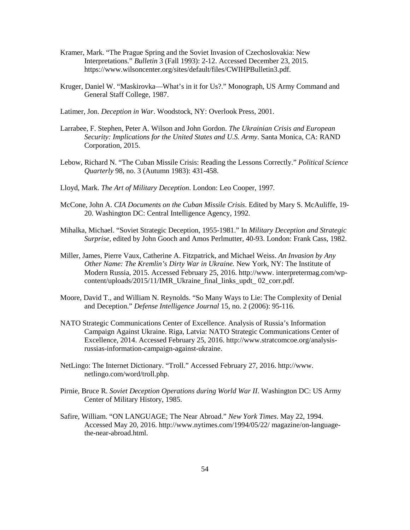- Interpretations." *Bulletin* 3 (Fall 1993): 2-12. Accessed December 23, 2015. Kramer, Mark. "The Prague Spring and the Soviet Invasion of Czechoslovakia: New https://www.wilsoncenter.org/sites/default/files/CWIHPBulletin3.pdf.
- Kruger, Daniel W. "Maskirovka—What's in it for Us?." Monograph, US Army Command and General Staff College, 1987.
- Latimer, Jon. *Deception in War*. Woodstock, NY: Overlook Press, 2001.
- Larrabee, F. Stephen, Peter A. Wilson and John Gordon. *The Ukrainian Crisis and European Security: Implications for the United States and U.S. Army*. Santa Monica, CA: RAND Corporation, 2015.
- Lebow, Richard N. "The Cuban Missile Crisis: Reading the Lessons Correctly." *Political Science Quarterly* 98, no. 3 (Autumn 1983): 431-458.
- Lloyd, Mark. *The Art of Military Deception*. London: Leo Cooper, 1997.
- McCone, John A. *CIA Documents on the Cuban Missile Crisis*. Edited by Mary S. McAuliffe, 19 20. Washington DC: Central Intelligence Agency, 1992.
- Mihalka, Michael. "Soviet Strategic Deception, 1955-1981." In *Military Deception and Strategic Surprise,* edited by John Gooch and Amos Perlmutter, 40-93. London: Frank Cass, 1982.
- Miller, James, Pierre Vaux, Catherine A. Fitzpatrick, and Michael Weiss. *An Invasion by Any Other Name: The Kremlin's Dirty War in Ukraine.* New York, NY: The Institute of content/uploads/2015/11/IMR\_Ukraine\_final\_links\_updt\_ 02\_corr.pdf. Modern Russia, 2015. Accessed February 25, 2016. http://www. interpretermag.com/wp-
- Moore, David T., and William N. Reynolds. "So Many Ways to Lie: The Complexity of Denial and Deception." *Defense Intelligence Journal* 15, no. 2 (2006): 95-116.
- NATO Strategic Communications Center of Excellence. Analysis of Russia's Information Campaign Against Ukraine. Riga, Latvia: NATO Strategic Communications Center of Excellence, 2014. Accessed February 25, 2016. http://www.stratcomcoe.org/analysisrussias-information-campaign-against-ukraine.
- NetLingo: The Internet Dictionary. "Troll." Accessed February 27, 2016. http://www. netlingo.com/word/troll.php.
- Pirnie, Bruce R. *Soviet Deception Operations during World War II*. Washington DC: US Army Center of Military History, 1985.
- Safire, William. "ON LANGUAGE; The Near Abroad." *New York Times*. May 22, 1994. Accessed May 20, 2016. http://www.nytimes.com/1994/05/22/ magazine/on-languagethe-near-abroad.html.